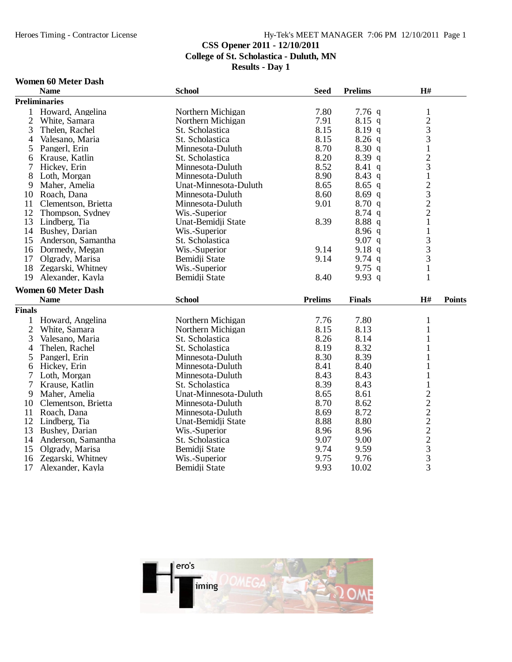### Heroes Timing - Contractor License Hy-Tek's MEET MANAGER 7:06 PM 12/10/2011 Page 1

## **CSS Opener 2011 - 12/10/2011 College of St. Scholastica - Duluth, MN**

**Results - Day 1**

#### **Women 60 Meter Dash**

|                | <b>Name</b>                           | <b>School</b>                  | <b>Seed</b>    | <b>Prelims</b> | H#                                         |               |
|----------------|---------------------------------------|--------------------------------|----------------|----------------|--------------------------------------------|---------------|
|                | <b>Preliminaries</b>                  |                                |                |                |                                            |               |
| 1              | Howard, Angelina                      | Northern Michigan              | 7.80           | 7.76q          | $\mathbf{1}$                               |               |
| $\mathbf{2}$   | White, Samara                         | Northern Michigan              | 7.91           | $8.15$ q       | $\frac{2}{3}$                              |               |
| 3              | Thelen, Rachel                        | St. Scholastica                | 8.15           | 8.19q          |                                            |               |
| $\overline{4}$ | Valesano, Maria                       | St. Scholastica                | 8.15           | $8.26$ q       | 3                                          |               |
| 5              | Pangerl, Erin                         | Minnesota-Duluth               | 8.70           | 8.30q          | $\mathbf{1}$                               |               |
| 6              | Krause, Katlin                        | St. Scholastica                | 8.20           | 8.39q          | $\frac{2}{3}$                              |               |
| 7              | Hickey, Erin                          | Minnesota-Duluth               | 8.52           | $8.41\ q$      |                                            |               |
| 8              | Loth, Morgan                          | Minnesota-Duluth               | 8.90           | $8.43$ q       | $\overline{1}$                             |               |
| 9              | Maher, Amelia                         | Unat-Minnesota-Duluth          | 8.65           | $8.65$ q       | $\begin{array}{c} 2 \\ 3 \\ 2 \end{array}$ |               |
| 10             | Roach, Dana                           | Minnesota-Duluth               | 8.60           | 8.69q          |                                            |               |
| 11             | Clementson, Brietta                   | Minnesota-Duluth               | 9.01           | 8.70q          |                                            |               |
| 12             | Thompson, Sydney                      | Wis.-Superior                  |                | $8.74$ q       |                                            |               |
| 13             | Lindberg, Tia                         | Unat-Bemidji State             | 8.39           | 8.88q          | $\mathbf{1}$                               |               |
| 14             | Bushey, Darian                        | Wis.-Superior                  |                | 8.96q          |                                            |               |
| 15             | Anderson, Samantha                    | St. Scholastica                |                | 9.07 q         |                                            |               |
| 16             | Dormedy, Megan                        | Wis.-Superior                  | 9.14           | 9.18 q         | $\frac{1}{3}$                              |               |
| 17             | Olgrady, Marisa                       | Bemidji State                  | 9.14           | 9.74 $q$       | $\overline{3}$                             |               |
| 18             | Zegarski, Whitney                     | Wis.-Superior                  |                | 9.75 $q$       | $\mathbf{1}$                               |               |
| 19             | Alexander, Kayla                      | Bemidji State                  | 8.40           | 9.93 $q$       | $\mathbf{1}$                               |               |
|                | <b>Women 60 Meter Dash</b>            |                                |                |                |                                            |               |
|                | <b>Name</b>                           | <b>School</b>                  | <b>Prelims</b> | <b>Finals</b>  | H#                                         | <b>Points</b> |
| <b>Finals</b>  |                                       |                                |                |                |                                            |               |
| 1              | Howard, Angelina                      | Northern Michigan              | 7.76           | 7.80           | $\mathbf{1}$                               |               |
| $\overline{2}$ | White, Samara                         | Northern Michigan              | 8.15           | 8.13           | $\mathbf{1}$                               |               |
| 3              | Valesano, Maria                       | St. Scholastica                | 8.26           | 8.14           | 1                                          |               |
| 4              | Thelen, Rachel                        | St. Scholastica                | 8.19           | 8.32           | 1                                          |               |
| 5              | Pangerl, Erin                         | Minnesota-Duluth               | 8.30           | 8.39           | $\mathbf{1}$                               |               |
| 6              | Hickey, Erin                          | Minnesota-Duluth               | 8.41           | 8.40           | $\mathbf{1}$                               |               |
| 7              | Loth, Morgan                          | Minnesota-Duluth               | 8.43           | 8.43           | $\mathbf{1}$                               |               |
| 7              | Krause, Katlin                        | St. Scholastica                | 8.39           | 8.43           | $\mathbf{1}$                               |               |
| 9              | Maher, Amelia                         | Unat-Minnesota-Duluth          | 8.65           | 8.61           |                                            |               |
| 10             | Clementson, Brietta                   | Minnesota-Duluth               | 8.70           | 8.62           |                                            |               |
| 11             | Roach, Dana                           | Minnesota-Duluth               | 8.69           | 8.72           |                                            |               |
| 12             | Lindberg, Tia                         | Unat-Bemidji State             | 8.88           | 8.80           |                                            |               |
| 13             | Bushey, Darian                        | Wis.-Superior                  | 8.96           | 8.96           |                                            |               |
| 14             | Anderson, Samantha                    | St. Scholastica                | 9.07           | 9.00           |                                            |               |
| 15             | Olgrady, Marisa                       | Bemidji State                  | 9.74           | 9.59           |                                            |               |
| 16             |                                       |                                |                |                |                                            |               |
|                |                                       |                                |                |                |                                            |               |
| 17             | Zegarski, Whitney<br>Alexander, Kayla | Wis.-Superior<br>Bemidji State | 9.75<br>9.93   | 9.76<br>10.02  | 222222333                                  |               |

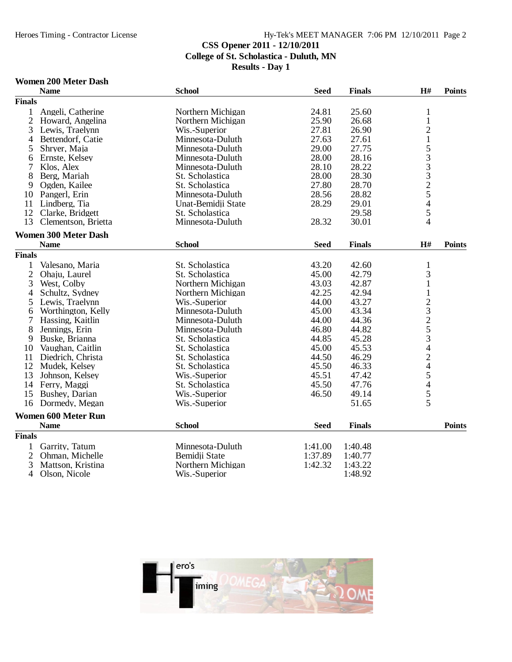# **CSS Opener 2011 - 12/10/2011 College of St. Scholastica - Duluth, MN**

**Results - Day 1**

### **Women 200 Meter Dash**

|                     | <b>Name</b>                 | <b>School</b>      | <b>Seed</b> | <b>Finals</b> | H#                             | <b>Points</b> |
|---------------------|-----------------------------|--------------------|-------------|---------------|--------------------------------|---------------|
| <b>Finals</b>       |                             |                    |             |               |                                |               |
| $\mathbf{1}$        | Angeli, Catherine           | Northern Michigan  | 24.81       | 25.60         | 1                              |               |
| $\overline{2}$      | Howard, Angelina            | Northern Michigan  | 25.90       | 26.68         | $\mathbf{1}$                   |               |
| 3                   | Lewis, Traelynn             | Wis.-Superior      | 27.81       | 26.90         | $\overline{c}$                 |               |
| 4                   | Bettendorf, Catie           | Minnesota-Duluth   | 27.63       | 27.61         |                                |               |
| 5                   | Shryer, Maja                | Minnesota-Duluth   | 29.00       | 27.75         |                                |               |
| 6                   | Ernste, Kelsey              | Minnesota-Duluth   | 28.00       | 28.16         |                                |               |
| 7                   | Klos, Alex                  | Minnesota-Duluth   | 28.10       | 28.22         | 1533325                        |               |
| 8                   | Berg, Mariah                | St. Scholastica    | 28.00       | 28.30         |                                |               |
| 9                   | Ogden, Kailee               | St. Scholastica    | 27.80       | 28.70         |                                |               |
| 10                  | Pangerl, Erin               | Minnesota-Duluth   | 28.56       | 28.82         |                                |               |
| 11                  | Lindberg, Tia               | Unat-Bemidji State | 28.29       | 29.01         | $\overline{4}$                 |               |
| 12                  | Clarke, Bridgett            | St. Scholastica    |             | 29.58         | 5                              |               |
| 13                  | Clementson, Brietta         | Minnesota-Duluth   | 28.32       | 30.01         | 4                              |               |
|                     | <b>Women 300 Meter Dash</b> |                    |             |               |                                |               |
|                     | <b>Name</b>                 | <b>School</b>      | <b>Seed</b> | <b>Finals</b> | $\mathbf{H}$ #                 | <b>Points</b> |
| <b>Finals</b>       |                             |                    |             |               |                                |               |
|                     |                             | St. Scholastica    | 43.20       | 42.60         |                                |               |
| 1<br>$\overline{2}$ | Valesano, Maria             | St. Scholastica    | 45.00       | 42.79         | $\mathbf{1}$<br>3              |               |
|                     | Ohaju, Laurel               |                    |             |               | $\mathbf{1}$                   |               |
| 3                   | West, Colby                 | Northern Michigan  | 43.03       | 42.87         |                                |               |
| 4                   | Schultz, Sydney             | Northern Michigan  | 42.25       | 42.94         | $\,1$                          |               |
| 5                   | Lewis, Traelynn             | Wis.-Superior      | 44.00       | 43.27         | 23253424                       |               |
| 6                   | Worthington, Kelly          | Minnesota-Duluth   | 45.00       | 43.34         |                                |               |
| 7                   | Hassing, Kaitlin            | Minnesota-Duluth   | 44.00       | 44.36         |                                |               |
| 8                   | Jennings, Erin              | Minnesota-Duluth   | 46.80       | 44.82         |                                |               |
| 9                   | Buske, Brianna              | St. Scholastica    | 44.85       | 45.28         |                                |               |
| 10                  | Vaughan, Caitlin            | St. Scholastica    | 45.00       | 45.53         |                                |               |
| 11                  | Diedrich, Christa           | St. Scholastica    | 44.50       | 46.29         |                                |               |
| 12                  | Mudek, Kelsey               | St. Scholastica    | 45.50       | 46.33         |                                |               |
| 13                  | Johnson, Kelsey             | Wis.-Superior      | 45.51       | 47.42         |                                |               |
| 14                  | Ferry, Maggi                | St. Scholastica    | 45.50       | 47.76         |                                |               |
| 15                  | Bushey, Darian              | Wis.-Superior      | 46.50       | 49.14         | $\frac{5}{4}$<br>$\frac{4}{5}$ |               |
| 16                  | Dormedy, Megan              | Wis.-Superior      |             | 51.65         |                                |               |
|                     | <b>Women 600 Meter Run</b>  |                    |             |               |                                |               |
|                     | <b>Name</b>                 | <b>School</b>      | <b>Seed</b> | <b>Finals</b> |                                | <b>Points</b> |
| <b>Finals</b>       |                             |                    |             |               |                                |               |
| 1                   | Garrity, Tatum              | Minnesota-Duluth   | 1:41.00     | 1:40.48       |                                |               |
| $\overline{2}$      | Ohman, Michelle             | Bemidji State      | 1:37.89     | 1:40.77       |                                |               |
| 3                   | Mattson, Kristina           | Northern Michigan  | 1:42.32     | 1:43.22       |                                |               |
| $\overline{4}$      | Olson, Nicole               | Wis.-Superior      |             | 1:48.92       |                                |               |

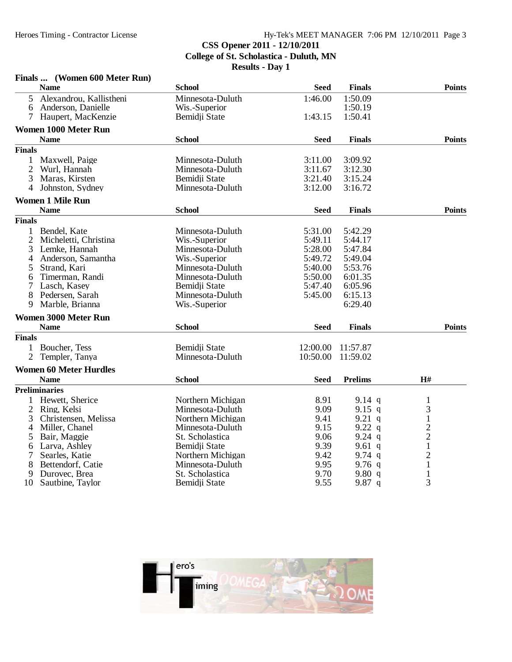### **CSS Opener 2011 - 12/10/2011**

**College of St. Scholastica - Duluth, MN**

|                | Finals  (Women 600 Meter Run) |                   |             |                |                |
|----------------|-------------------------------|-------------------|-------------|----------------|----------------|
|                | <b>Name</b>                   | <b>School</b>     | <b>Seed</b> | <b>Finals</b>  | <b>Points</b>  |
| 5              | Alexandrou, Kallistheni       | Minnesota-Duluth  | 1:46.00     | 1:50.09        |                |
| 6              | Anderson, Danielle            | Wis.-Superior     |             | 1:50.19        |                |
| 7              | Haupert, MacKenzie            | Bemidji State     | 1:43.15     | 1:50.41        |                |
|                | <b>Women 1000 Meter Run</b>   |                   |             |                |                |
|                | <b>Name</b>                   | <b>School</b>     | <b>Seed</b> | <b>Finals</b>  | <b>Points</b>  |
| <b>Finals</b>  |                               |                   |             |                |                |
| 1              | Maxwell, Paige                | Minnesota-Duluth  | 3:11.00     | 3:09.92        |                |
| $\overline{2}$ | Wurl, Hannah                  | Minnesota-Duluth  | 3:11.67     | 3:12.30        |                |
| 3              | Maras, Kirsten                | Bemidji State     | 3:21.40     | 3:15.24        |                |
| 4              | Johnston, Sydney              | Minnesota-Duluth  | 3:12.00     | 3:16.72        |                |
|                | <b>Women 1 Mile Run</b>       |                   |             |                |                |
|                | <b>Name</b>                   | <b>School</b>     | <b>Seed</b> | <b>Finals</b>  | <b>Points</b>  |
| <b>Finals</b>  |                               |                   |             |                |                |
|                | 1 Bendel, Kate                | Minnesota-Duluth  | 5:31.00     | 5:42.29        |                |
| $\overline{2}$ | Micheletti, Christina         | Wis.-Superior     | 5:49.11     | 5:44.17        |                |
| 3              | Lemke, Hannah                 | Minnesota-Duluth  | 5:28.00     | 5:47.84        |                |
| 4              | Anderson, Samantha            | Wis.-Superior     | 5:49.72     | 5:49.04        |                |
| 5              | Strand, Kari                  | Minnesota-Duluth  | 5:40.00     | 5:53.76        |                |
| 6              | Timerman, Randi               | Minnesota-Duluth  | 5:50.00     | 6:01.35        |                |
| 7              | Lasch, Kasey                  | Bemidii State     | 5:47.40     | 6:05.96        |                |
| 8              | Pedersen, Sarah               | Minnesota-Duluth  | 5:45.00     | 6:15.13        |                |
| 9              | Marble, Brianna               | Wis.-Superior     |             | 6:29.40        |                |
|                | <b>Women 3000 Meter Run</b>   |                   |             |                |                |
|                | <b>Name</b>                   | <b>School</b>     | <b>Seed</b> | <b>Finals</b>  | <b>Points</b>  |
| <b>Finals</b>  |                               |                   |             |                |                |
|                | 1 Boucher, Tess               | Bemidji State     | 12:00.00    | 11:57.87       |                |
| $\overline{2}$ | Templer, Tanya                | Minnesota-Duluth  | 10:50.00    | 11:59.02       |                |
|                | <b>Women 60 Meter Hurdles</b> |                   |             |                |                |
|                | <b>Name</b>                   | <b>School</b>     | Seed        | <b>Prelims</b> | H#             |
|                | <b>Preliminaries</b>          |                   |             |                |                |
| 1              | Hewett, Sherice               | Northern Michigan | 8.91        | $9.14$ q       | $\mathbf{1}$   |
| $\overline{2}$ | Ring, Kelsi                   | Minnesota-Duluth  | 9.09        | 9.15 $q$       | 3              |
| 3              | Christensen, Melissa          | Northern Michigan | 9.41        | 9.21 q         | $\mathbf{1}$   |
| 4              | Miller, Chanel                | Minnesota-Duluth  | 9.15        | 9.22 q         |                |
| 5              | Bair, Maggie                  | St. Scholastica   | 9.06        | $9.24$ q       | $\frac{2}{2}$  |
| 6              | Larva, Ashley                 | Bemidji State     | 9.39        | 9.61 $q$       | $\mathbf{1}$   |
| 7              | Searles, Katie                | Northern Michigan | 9.42        | 9.74 $q$       | $\overline{c}$ |
| 8              | Bettendorf, Catie             | Minnesota-Duluth  | 9.95        | $9.76$ q       | $\mathbf{1}$   |
| 9              | Durovec, Brea                 | St. Scholastica   | 9.70        | 9.80q          | $\mathbf{1}$   |
| 10             | Sautbine, Taylor              | Bemidji State     | 9.55        | 9.87 q         | 3              |

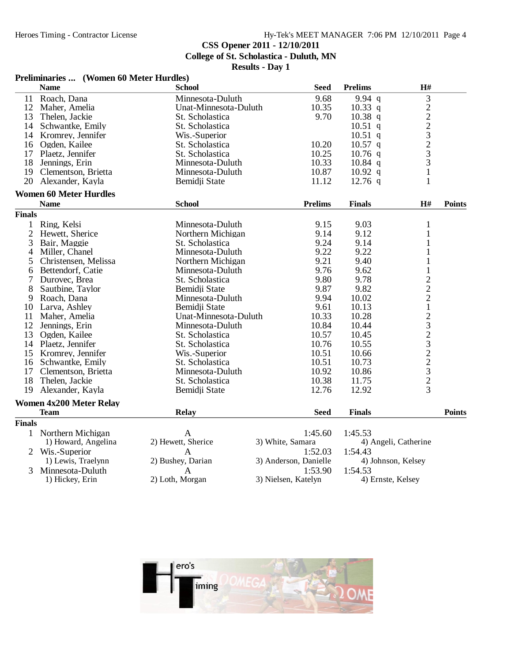## **CSS Opener 2011 - 12/10/2011**

**College of St. Scholastica - Duluth, MN**

|               | Preliminaries  (Women 60 Meter Hurdles) |                       |                       |                      |                    |               |
|---------------|-----------------------------------------|-----------------------|-----------------------|----------------------|--------------------|---------------|
|               | <b>Name</b>                             | <b>School</b>         | <b>Seed</b>           | <b>Prelims</b>       | $\mathbf{H}$ #     |               |
| 11            | Roach, Dana                             | Minnesota-Duluth      | 9.68                  | 9.94q                | 3                  |               |
|               | 12 Maher, Amelia                        | Unat-Minnesota-Duluth | 10.35                 | $10.33$ q            |                    |               |
| 13            | Thelen, Jackie                          | St. Scholastica       | 9.70                  | $10.38$ q            |                    |               |
|               | 14 Schwantke, Emily                     | St. Scholastica       |                       | $10.51$ q            |                    |               |
|               | 14 Kromrey, Jennifer                    | Wis.-Superior         |                       | $10.51$ q            |                    |               |
|               | 16 Ogden, Kailee                        | St. Scholastica       | 10.20                 | $10.57$ q            |                    |               |
|               | 17 Plaetz, Jennifer                     | St. Scholastica       | 10.25                 | $10.76$ q            | $222323$<br>3<br>3 |               |
|               | 18 Jennings, Erin                       | Minnesota-Duluth      | 10.33                 | $10.84$ q            |                    |               |
|               | 19 Clementson, Brietta                  | Minnesota-Duluth      | 10.87                 | $10.92$ q            | $\mathbf{1}$       |               |
| 20            | Alexander, Kayla                        | Bemidji State         | 11.12                 | $12.76$ q            | $\mathbf{1}$       |               |
|               | <b>Women 60 Meter Hurdles</b>           |                       |                       |                      |                    |               |
|               | <b>Name</b>                             | <b>School</b>         | <b>Prelims</b>        | <b>Finals</b>        | $\mathbf{H}$ #     | <b>Points</b> |
| <b>Finals</b> |                                         |                       |                       |                      |                    |               |
| $\mathbf{1}$  | Ring, Kelsi                             | Minnesota-Duluth      | 9.15                  | 9.03                 | 1                  |               |
| 2             | Hewett, Sherice                         | Northern Michigan     | 9.14                  | 9.12                 | $\mathbf{1}$       |               |
| 3             | Bair, Maggie                            | St. Scholastica       | 9.24                  | 9.14                 | 1                  |               |
| 4             | Miller, Chanel                          | Minnesota-Duluth      | 9.22                  | 9.22                 | $\mathbf{1}$       |               |
| 5             | Christensen, Melissa                    | Northern Michigan     | 9.21                  | 9.40                 | 1                  |               |
| 6             | Bettendorf, Catie                       | Minnesota-Duluth      | 9.76                  | 9.62                 | $\mathbf{1}$       |               |
| 7             | Durovec, Brea                           | St. Scholastica       | 9.80                  | 9.78                 |                    |               |
| 8             | Sautbine, Taylor                        | Bemidji State         | 9.87                  | 9.82                 | 222123232232       |               |
| 9             | Roach, Dana                             | Minnesota-Duluth      | 9.94                  | 10.02                |                    |               |
|               | 10 Larva, Ashley                        | Bemidji State         | 9.61                  | 10.13                |                    |               |
|               | 11 Maher, Amelia                        | Unat-Minnesota-Duluth | 10.33                 | 10.28                |                    |               |
|               | 12 Jennings, Erin                       | Minnesota-Duluth      | 10.84                 | 10.44                |                    |               |
|               | 13 Ogden, Kailee                        | St. Scholastica       | 10.57                 | 10.45                |                    |               |
|               | 14 Plaetz, Jennifer                     | St. Scholastica       | 10.76                 | 10.55                |                    |               |
|               | 15 Kromrey, Jennifer                    | Wis.-Superior         | 10.51                 | 10.66                |                    |               |
|               | 16 Schwantke, Emily                     | St. Scholastica       | 10.51                 | 10.73                |                    |               |
|               | 17 Clementson, Brietta                  | Minnesota-Duluth      | 10.92                 | 10.86                |                    |               |
| 18            | Thelen, Jackie                          | St. Scholastica       | 10.38                 | 11.75                |                    |               |
| 19            | Alexander, Kayla                        | Bemidji State         | 12.76                 | 12.92                | $\overline{3}$     |               |
|               | <b>Women 4x200 Meter Relay</b>          |                       |                       |                      |                    |               |
|               | <b>Team</b>                             | <b>Relay</b>          | <b>Seed</b>           | <b>Finals</b>        |                    | <b>Points</b> |
| <b>Finals</b> |                                         |                       |                       |                      |                    |               |
|               | 1 Northern Michigan                     | A                     | 1:45.60               | 1:45.53              |                    |               |
|               | 1) Howard, Angelina                     | 2) Hewett, Sherice    | 3) White, Samara      | 4) Angeli, Catherine |                    |               |
|               | 2 Wis.-Superior                         | A                     | 1:52.03               | 1:54.43              |                    |               |
|               | 1) Lewis, Traelynn                      | 2) Bushey, Darian     | 3) Anderson, Danielle | 4) Johnson, Kelsey   |                    |               |
| 3             | Minnesota-Duluth                        | A                     | 1:53.90               | 1:54.53              |                    |               |
|               | 1) Hickey, Erin                         | 2) Loth, Morgan       | 3) Nielsen, Katelyn   | 4) Ernste, Kelsey    |                    |               |

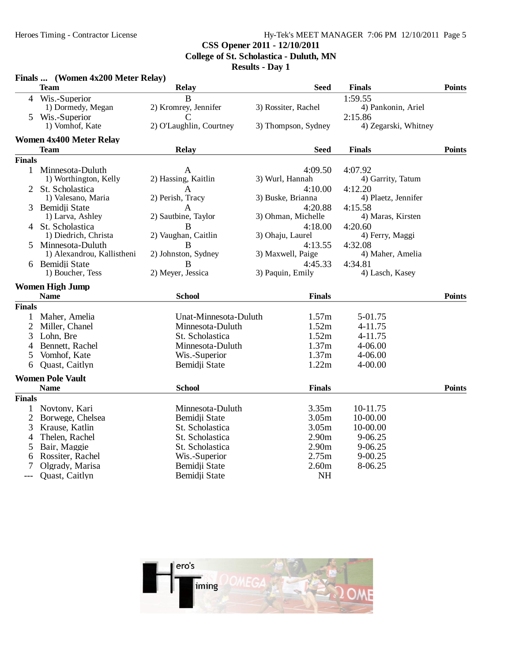### **CSS Opener 2011 - 12/10/2011**

**College of St. Scholastica - Duluth, MN**

|                | Finals  (Women 4x200 Meter Relay) |                         |                     |                      |               |
|----------------|-----------------------------------|-------------------------|---------------------|----------------------|---------------|
|                | Team                              | <b>Relay</b>            | Seed                | <b>Finals</b>        | <b>Points</b> |
| 4              | Wis.-Superior                     | B                       |                     | 1:59.55              |               |
|                | 1) Dormedy, Megan                 | 2) Kromrey, Jennifer    | 3) Rossiter, Rachel | 4) Pankonin, Ariel   |               |
|                | 5 Wis.-Superior                   | C                       |                     | 2:15.86              |               |
|                | 1) Vomhof, Kate                   | 2) O'Laughlin, Courtney | 3) Thompson, Sydney | 4) Zegarski, Whitney |               |
|                | <b>Women 4x400 Meter Relay</b>    |                         |                     |                      |               |
|                | Team                              | <b>Relay</b>            | <b>Seed</b>         | <b>Finals</b>        | <b>Points</b> |
| <b>Finals</b>  |                                   |                         |                     |                      |               |
|                | 1 Minnesota-Duluth                | A                       | 4:09.50             | 4:07.92              |               |
|                | 1) Worthington, Kelly             | 2) Hassing, Kaitlin     | 3) Wurl, Hannah     | 4) Garrity, Tatum    |               |
|                | St. Scholastica                   | A                       | 4:10.00             | 4:12.20              |               |
|                | 1) Valesano, Maria                | 2) Perish, Tracy        | 3) Buske, Brianna   | 4) Plaetz, Jennifer  |               |
| 3              | Bemidji State                     | A                       | 4:20.88             | 4:15.58              |               |
|                | 1) Larva, Ashley                  | 2) Sautbine, Taylor     | 3) Ohman, Michelle  | 4) Maras, Kirsten    |               |
|                | 4 St. Scholastica                 | B                       | 4:18.00             | 4:20.60              |               |
|                | 1) Diedrich, Christa              | 2) Vaughan, Caitlin     | 3) Ohaju, Laurel    | 4) Ferry, Maggi      |               |
| 5.             | Minnesota-Duluth                  | $\overline{B}$          | 4:13.55             | 4:32.08              |               |
|                | 1) Alexandrou, Kallistheni        | 2) Johnston, Sydney     | 3) Maxwell, Paige   | 4) Maher, Amelia     |               |
|                | 6 Bemidii State                   | B                       | 4:45.33             | 4:34.81              |               |
|                | 1) Boucher, Tess                  | 2) Meyer, Jessica       | 3) Paquin, Emily    | 4) Lasch, Kasey      |               |
|                | <b>Women High Jump</b>            |                         |                     |                      |               |
|                | <b>Name</b>                       | <b>School</b>           | <b>Finals</b>       |                      | <b>Points</b> |
| <b>Finals</b>  |                                   |                         |                     |                      |               |
|                | 1 Maher, Amelia                   | Unat-Minnesota-Duluth   | 1.57m               | 5-01.75              |               |
| $\overline{2}$ | Miller, Chanel                    | Minnesota-Duluth        | 1.52m               | 4-11.75              |               |
| 3              | Lohn, Bre                         | St. Scholastica         | 1.52m               | 4-11.75              |               |
| 4              | Bennett, Rachel                   | Minnesota-Duluth        | 1.37m               | 4-06.00              |               |
| 5              | Vomhof, Kate                      | Wis.-Superior           | 1.37m               | 4-06.00              |               |
| 6              | Quast, Caitlyn                    | Bemidji State           | 1.22m               | 4-00.00              |               |
|                | <b>Women Pole Vault</b>           |                         |                     |                      |               |
|                | <b>Name</b>                       | <b>School</b>           | <b>Finals</b>       |                      | <b>Points</b> |
| <b>Finals</b>  |                                   |                         |                     |                      |               |
| 1              | Novtony, Kari                     | Minnesota-Duluth        | 3.35m               | 10-11.75             |               |
| 2              | Borwege, Chelsea                  | Bemidji State           | 3.05m               | 10-00.00             |               |
| 3              | Krause, Katlin                    | St. Scholastica         | 3.05m               | 10-00.00             |               |
| 4              | Thelen, Rachel                    | St. Scholastica         | 2.90m               | 9-06.25              |               |
|                | Bair, Maggie                      | St. Scholastica         | 2.90 <sub>m</sub>   | 9-06.25              |               |
| 5<br>6         | Rossiter, Rachel                  | Wis.-Superior           | 2.75m               | $9 - 00.25$          |               |
| 7              | Olgrady, Marisa                   | Bemidji State           | 2.60m               | 8-06.25              |               |
|                | Quast, Caitlyn                    | Bemidji State           | <b>NH</b>           |                      |               |
| ---            |                                   |                         |                     |                      |               |

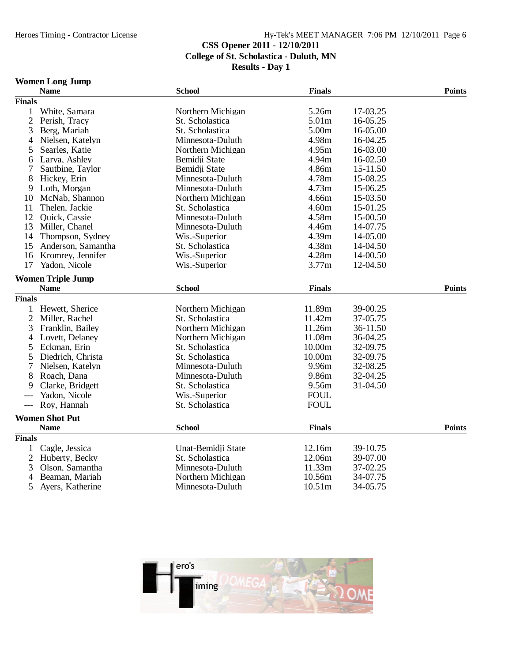## **CSS Opener 2011 - 12/10/2011 College of St. Scholastica - Duluth, MN**

**Results - Day 1**

### **Women Long Jump**

|                     | <b>Name</b>              | <b>School</b>      | <b>Finals</b>      |          | <b>Points</b> |
|---------------------|--------------------------|--------------------|--------------------|----------|---------------|
| <b>Finals</b>       |                          |                    |                    |          |               |
| 1                   | White, Samara            | Northern Michigan  | 5.26m              | 17-03.25 |               |
| $\overline{2}$      | Perish, Tracy            | St. Scholastica    | 5.01m              | 16-05.25 |               |
| 3                   | Berg, Mariah             | St. Scholastica    | 5.00m              | 16-05.00 |               |
| 4                   | Nielsen, Katelyn         | Minnesota-Duluth   | 4.98m              | 16-04.25 |               |
| 5                   | Searles, Katie           | Northern Michigan  | 4.95m              | 16-03.00 |               |
| 6                   | Larva, Ashley            | Bemidji State      | 4.94m              | 16-02.50 |               |
| 7                   | Sautbine, Taylor         | Bemidii State      | 4.86m              | 15-11.50 |               |
| 8                   | Hickey, Erin             | Minnesota-Duluth   | 4.78m              | 15-08.25 |               |
| 9                   | Loth, Morgan             | Minnesota-Duluth   | 4.73m              | 15-06.25 |               |
| 10                  | McNab, Shannon           | Northern Michigan  | 4.66m              | 15-03.50 |               |
| 11                  | Thelen, Jackie           | St. Scholastica    | 4.60m              | 15-01.25 |               |
| 12                  | <b>Ouick, Cassie</b>     | Minnesota-Duluth   | 4.58m              | 15-00.50 |               |
| 13                  | Miller, Chanel           | Minnesota-Duluth   | 4.46m              | 14-07.75 |               |
| 14                  | Thompson, Sydney         | Wis.-Superior      | 4.39m              | 14-05.00 |               |
| 15                  | Anderson, Samantha       | St. Scholastica    | 4.38m              | 14-04.50 |               |
| 16                  | Kromrey, Jennifer        | Wis.-Superior      | 4.28m              | 14-00.50 |               |
| 17                  | Yadon, Nicole            | Wis.-Superior      | 3.77m              | 12-04.50 |               |
|                     | <b>Women Triple Jump</b> |                    |                    |          |               |
|                     | <b>Name</b>              | <b>School</b>      | <b>Finals</b>      |          | <b>Points</b> |
| <b>Finals</b>       |                          |                    |                    |          |               |
| 1                   | Hewett, Sherice          | Northern Michigan  | 11.89m             | 39-00.25 |               |
| $\overline{2}$      | Miller, Rachel           | St. Scholastica    | 11.42m             | 37-05.75 |               |
| 3                   | Franklin, Bailey         | Northern Michigan  | 11.26m             | 36-11.50 |               |
| 4                   | Lovett, Delaney          | Northern Michigan  | 11.08m             | 36-04.25 |               |
| 5                   | Eckman, Erin             | St. Scholastica    | 10.00m             | 32-09.75 |               |
| 5                   | Diedrich, Christa        | St. Scholastica    | 10.00m             | 32-09.75 |               |
| 7                   | Nielsen, Katelyn         | Minnesota-Duluth   | 9.96m              | 32-08.25 |               |
| 8                   | Roach, Dana              | Minnesota-Duluth   | 9.86m              | 32-04.25 |               |
| 9                   | Clarke, Bridgett         | St. Scholastica    | 9.56m              | 31-04.50 |               |
|                     | Yadon, Nicole            | Wis.-Superior      | <b>FOUL</b>        |          |               |
| $\qquad \qquad - -$ | Roy, Hannah              | St. Scholastica    | <b>FOUL</b>        |          |               |
|                     | <b>Women Shot Put</b>    |                    |                    |          |               |
|                     | <b>Name</b>              | <b>School</b>      | <b>Finals</b>      |          | <b>Points</b> |
| <b>Finals</b>       |                          |                    |                    |          |               |
| 1                   | Cagle, Jessica           | Unat-Bemidji State | 12.16m             | 39-10.75 |               |
| $\overline{2}$      | Huberty, Becky           | St. Scholastica    | 12.06m             | 39-07.00 |               |
| 3                   | Olson, Samantha          | Minnesota-Duluth   | 11.33m             | 37-02.25 |               |
| $\overline{4}$      | Beaman, Mariah           | Northern Michigan  | 10.56m             | 34-07.75 |               |
| 5                   | Ayers, Katherine         | Minnesota-Duluth   | 10.51 <sub>m</sub> | 34-05.75 |               |

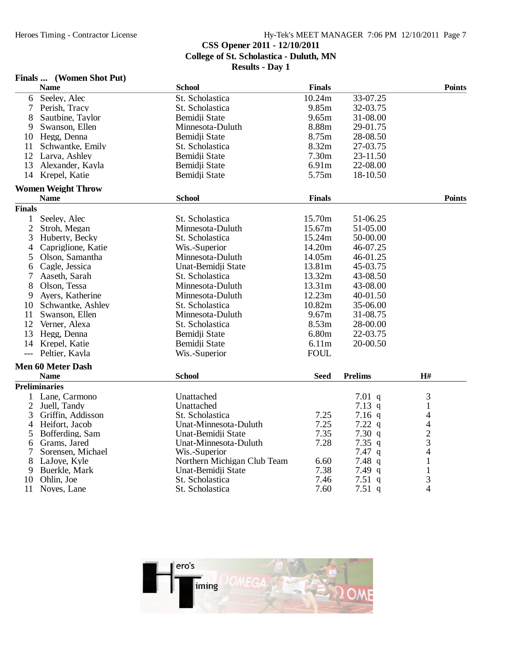#### Heroes Timing - Contractor License Hy-Tek's MEET MANAGER 7:06 PM 12/10/2011 Page 7 **CSS Opener 2011 - 12/10/2011 College of St. Scholastica - Duluth, MN Results - Day 1**

### **Finals ... (Women Shot Put)**

|                | <b>Name</b>               | <b>School</b>               | <b>Finals</b> |                | <b>Points</b>  |
|----------------|---------------------------|-----------------------------|---------------|----------------|----------------|
| 6              | Seeley, Alec              | St. Scholastica             | 10.24m        | 33-07.25       |                |
| 7              | Perish, Tracy             | St. Scholastica             | 9.85m         | 32-03.75       |                |
| 8              | Sautbine, Taylor          | Bemidii State               | 9.65m         | 31-08.00       |                |
| 9              | Swanson, Ellen            | Minnesota-Duluth            | 8.88m         | 29-01.75       |                |
|                | 10 Hegg, Denna            | Bemidji State               | 8.75m         | 28-08.50       |                |
| 11             | Schwantke, Emily          | St. Scholastica             | 8.32m         | 27-03.75       |                |
| 12             | Larva, Ashley             | Bemidji State               | 7.30m         | 23-11.50       |                |
| 13             | Alexander, Kayla          | Bemidii State               | 6.91m         | 22-08.00       |                |
| 14             | Krepel, Katie             | Bemidji State               | 5.75m         | 18-10.50       |                |
|                | <b>Women Weight Throw</b> |                             |               |                |                |
|                | <b>Name</b>               | <b>School</b>               | <b>Finals</b> |                | <b>Points</b>  |
| <b>Finals</b>  |                           |                             |               |                |                |
| 1              | Seeley, Alec              | St. Scholastica             | 15.70m        | 51-06.25       |                |
| $\overline{2}$ | Stroh, Megan              | Minnesota-Duluth            | 15.67m        | 51-05.00       |                |
| 3              | Huberty, Becky            | St. Scholastica             | 15.24m        | 50-00.00       |                |
| 4              | Capriglione, Katie        | Wis.-Superior               | 14.20m        | 46-07.25       |                |
| 5              | Olson, Samantha           | Minnesota-Duluth            | 14.05m        | 46-01.25       |                |
| 6              | Cagle, Jessica            | Unat-Bemidji State          | 13.81m        | 45-03.75       |                |
| 7              | Aaseth, Sarah             | St. Scholastica             | 13.32m        | 43-08.50       |                |
| 8              | Olson, Tessa              | Minnesota-Duluth            | 13.31m        | 43-08.00       |                |
| 9              | Ayers, Katherine          | Minnesota-Duluth            | 12.23m        | 40-01.50       |                |
| 10             | Schwantke, Ashley         | St. Scholastica             | 10.82m        | 35-06.00       |                |
| 11             | Swanson, Ellen            | Minnesota-Duluth            | 9.67m         | 31-08.75       |                |
| 12             | Verner, Alexa             | St. Scholastica             | 8.53m         | 28-00.00       |                |
| 13             | Hegg, Denna               | Bemidji State               | 6.80m         | 22-03.75       |                |
|                | 14 Krepel, Katie          | Bemidji State               | 6.11m         | 20-00.50       |                |
| $---$          | Peltier, Kayla            | Wis.-Superior               | <b>FOUL</b>   |                |                |
|                | <b>Men 60 Meter Dash</b>  |                             |               |                |                |
|                | <b>Name</b>               | <b>School</b>               | <b>Seed</b>   | <b>Prelims</b> | H#             |
|                | <b>Preliminaries</b>      |                             |               |                |                |
| 1              | Lane, Carmono             | Unattached                  |               | $7.01$ q       | 3              |
| $\overline{c}$ | Juell, Tandy              | Unattached                  |               | 7.13 $q$       | $\,1$          |
| 3              | Griffin, Addisson         | St. Scholastica             | 7.25          | $7.16$ q       | 4              |
| 4              | Heifort, Jacob            | Unat-Minnesota-Duluth       | 7.25          | 7.22 q         | $\overline{4}$ |
| 5              | Bofferding, Sam           | Unat-Bemidji State          | 7.35          | 7.30q          | $\frac{2}{3}$  |
| 6              | Grams, Jared              | Unat-Minnesota-Duluth       | 7.28          | 7.35 $q$       |                |
| 7              | Sorensen, Michael         | Wis.-Superior               |               | $7.47\ q$      | 4              |
| 8              | LaJoye, Kyle              | Northern Michigan Club Team | 6.60          | 7.48 $q$       | $\mathbf{1}$   |
| 9              | Buerkle, Mark             | Unat-Bemidji State          | 7.38          | 7.49 $q$       | $\mathbf{1}$   |
| 10             | Ohlin, Joe                | St. Scholastica             | 7.46          | 7.51q          | 3              |
| 11             | Noyes, Lane               | St. Scholastica             | 7.60          | 7.51 $q$       | 4              |

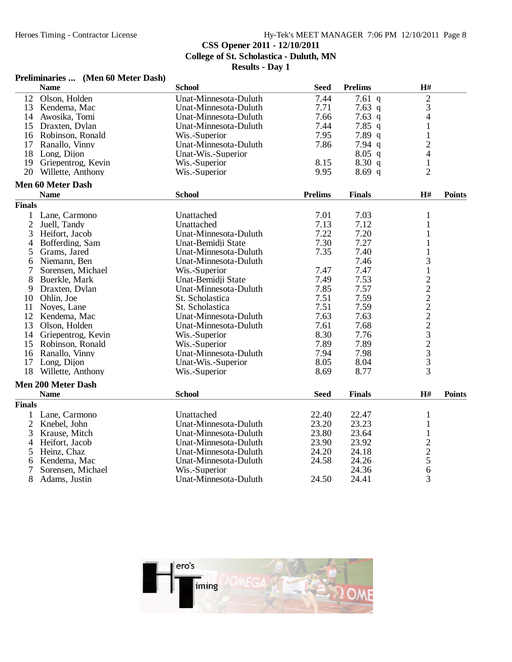### **CSS Opener 2011 - 12/10/2011**

**College of St. Scholastica - Duluth, MN**

| <b>Preliminaries</b> | (Men 60 Meter Dash) |  |  |
|----------------------|---------------------|--|--|
|----------------------|---------------------|--|--|

|                | <b>Name</b>               | <b>School</b>         | <b>Seed</b>    | <b>Prelims</b> | H#             |               |
|----------------|---------------------------|-----------------------|----------------|----------------|----------------|---------------|
| 12             | Olson, Holden             | Unat-Minnesota-Duluth | 7.44           | $7.61$ q       | $\overline{c}$ |               |
| 13             | Kendema, Mac              | Unat-Minnesota-Duluth | 7.71           | 7.63 q         | 3              |               |
| 14             | Awosika, Tomi             | Unat-Minnesota-Duluth | 7.66           | $7.63$ q       | 4              |               |
| 15             | Draxten, Dylan            | Unat-Minnesota-Duluth | 7.44           | $7.85$ q       | $\mathbf{1}$   |               |
| 16             | Robinson, Ronald          | Wis.-Superior         | 7.95           | 7.89 q         | $\mathbf{1}$   |               |
| 17             | Ranallo, Vinny            | Unat-Minnesota-Duluth | 7.86           | $7.94$ q       | $\overline{2}$ |               |
| 18             | Long, Dijon               | Unat-Wis.-Superior    |                | $8.05$ q       | $\overline{4}$ |               |
| 19             | Griepentrog, Kevin        | Wis.-Superior         | 8.15           | 8.30q          | $\mathbf{1}$   |               |
|                | 20 Willette, Anthony      | Wis.-Superior         | 9.95           | 8.69q          | $\overline{2}$ |               |
|                | <b>Men 60 Meter Dash</b>  |                       |                |                |                |               |
|                | <b>Name</b>               | <b>School</b>         | <b>Prelims</b> | <b>Finals</b>  | H#             | <b>Points</b> |
| <b>Finals</b>  |                           |                       |                |                |                |               |
| 1              | Lane, Carmono             | Unattached            | 7.01           | 7.03           | 1              |               |
| $\overline{2}$ | Juell, Tandy              | Unattached            | 7.13           | 7.12           | 1              |               |
| 3              | Heifort, Jacob            | Unat-Minnesota-Duluth | 7.22           | 7.20           | $\mathbf{1}$   |               |
| 4              | Bofferding, Sam           | Unat-Bemidji State    | 7.30           | 7.27           | 1              |               |
| 5              | Grams, Jared              | Unat-Minnesota-Duluth | 7.35           | 7.40           | 1              |               |
| 6              | Niemann, Ben              | Unat-Minnesota-Duluth |                | 7.46           | 3              |               |
| 7              | Sorensen, Michael         | Wis.-Superior         | 7.47           | 7.47           | $\mathbf{1}$   |               |
| 8              | Buerkle, Mark             | Unat-Bemidji State    | 7.49           | 7.53           |                |               |
| 9              | Draxten, Dylan            | Unat-Minnesota-Duluth | 7.85           | 7.57           | 222222323      |               |
| 10             | Ohlin, Joe                | St. Scholastica       | 7.51           | 7.59           |                |               |
| 11             | Noves, Lane               | St. Scholastica       | 7.51           | 7.59           |                |               |
|                | 12 Kendema, Mac           | Unat-Minnesota-Duluth | 7.63           | 7.63           |                |               |
| 13             | Olson, Holden             | Unat-Minnesota-Duluth | 7.61           | 7.68           |                |               |
| 14             | Griepentrog, Kevin        | Wis.-Superior         | 8.30           | 7.76           |                |               |
| 15             | Robinson, Ronald          | Wis.-Superior         | 7.89           | 7.89           |                |               |
| 16             | Ranallo, Vinny            | Unat-Minnesota-Duluth | 7.94           | 7.98           |                |               |
| 17             | Long, Dijon               | Unat-Wis.-Superior    | 8.05           | 8.04           |                |               |
| 18             | Willette, Anthony         | Wis.-Superior         | 8.69           | 8.77           | 3              |               |
|                | <b>Men 200 Meter Dash</b> |                       |                |                |                |               |
|                | <b>Name</b>               | <b>School</b>         | <b>Seed</b>    | <b>Finals</b>  | H#             | <b>Points</b> |
| <b>Finals</b>  |                           |                       |                |                |                |               |
| 1              | Lane, Carmono             | Unattached            | 22.40          | 22.47          | $\mathbf{1}$   |               |
| $\overline{2}$ | Knebel, John              | Unat-Minnesota-Duluth | 23.20          | 23.23          | $\mathbf{1}$   |               |
| 3              | Krause, Mitch             | Unat-Minnesota-Duluth | 23.80          | 23.64          | $\mathbf{1}$   |               |
| 4              | Heifort, Jacob            | Unat-Minnesota-Duluth | 23.90          | 23.92          |                |               |
| 5              | Heinz, Chaz               | Unat-Minnesota-Duluth | 24.20          | 24.18          | $\frac{2}{5}$  |               |
| 6              | Kendema, Mac              | Unat-Minnesota-Duluth | 24.58          | 24.26          |                |               |
| 7              | Sorensen, Michael         | Wis.-Superior         |                | 24.36          | 6              |               |
| 8              | Adams, Justin             | Unat-Minnesota-Duluth | 24.50          | 24.41          | 3              |               |
|                |                           |                       |                |                |                |               |

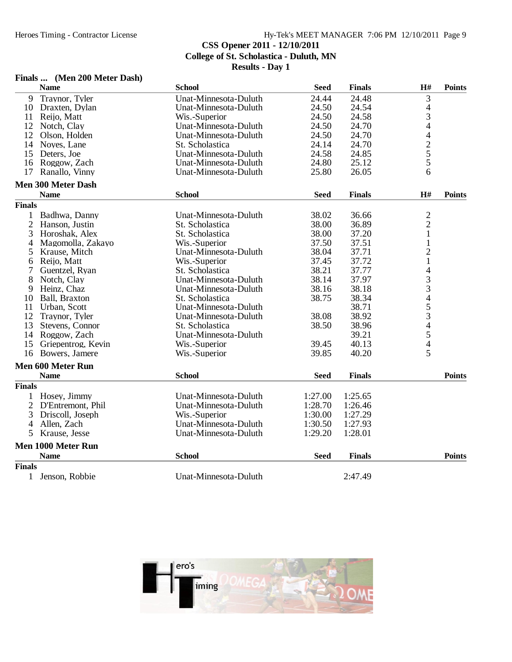## **CSS Opener 2011 - 12/10/2011**

**College of St. Scholastica - Duluth, MN**

| Finals |  | (Men 200 Meter Dash) |  |
|--------|--|----------------------|--|
|        |  |                      |  |

|                | <b>Name</b>               | <b>School</b>         | <b>Seed</b> | <b>Finals</b> | H#             | <b>Points</b> |
|----------------|---------------------------|-----------------------|-------------|---------------|----------------|---------------|
| 9              | Traynor, Tyler            | Unat-Minnesota-Duluth | 24.44       | 24.48         | 3              |               |
| 10             | Draxten, Dylan            | Unat-Minnesota-Duluth | 24.50       | 24.54         | $\overline{4}$ |               |
| 11             | Reijo, Matt               | Wis.-Superior         | 24.50       | 24.58         | 3              |               |
| 12             | Notch, Clay               | Unat-Minnesota-Duluth | 24.50       | 24.70         |                |               |
| 12             | Olson, Holden             | Unat-Minnesota-Duluth | 24.50       | 24.70         |                |               |
| 14             | Noyes, Lane               | St. Scholastica       | 24.14       | 24.70         |                |               |
| 15             | Deters, Joe               | Unat-Minnesota-Duluth | 24.58       | 24.85         | 4425           |               |
| 16             | Roggow, Zach              | Unat-Minnesota-Duluth | 24.80       | 25.12         |                |               |
| 17             | Ranallo, Vinny            | Unat-Minnesota-Duluth | 25.80       | 26.05         | 6              |               |
|                | <b>Men 300 Meter Dash</b> |                       |             |               |                |               |
|                | <b>Name</b>               | <b>School</b>         | <b>Seed</b> | <b>Finals</b> | H#             | <b>Points</b> |
| <b>Finals</b>  |                           |                       |             |               |                |               |
| 1              | Badhwa, Danny             | Unat-Minnesota-Duluth | 38.02       | 36.66         | $\overline{c}$ |               |
| $\overline{2}$ | Hanson, Justin            | St. Scholastica       | 38.00       | 36.89         | $\overline{c}$ |               |
| 3              | Horoshak, Alex            | St. Scholastica       | 38.00       | 37.20         | $\mathbf{1}$   |               |
| $\overline{4}$ | Magomolla, Zakayo         | Wis.-Superior         | 37.50       | 37.51         | $\mathbf 1$    |               |
| 5              | Krause, Mitch             | Unat-Minnesota-Duluth | 38.04       | 37.71         | $\overline{2}$ |               |
| 6              | Reijo, Matt               | Wis.-Superior         | 37.45       | 37.72         | $\mathbf{1}$   |               |
| 7              | Guentzel, Ryan            | St. Scholastica       | 38.21       | 37.77         |                |               |
| 8              | Notch, Clay               | Unat-Minnesota-Duluth | 38.14       | 37.97         | 433453454      |               |
| 9              | Heinz, Chaz               | Unat-Minnesota-Duluth | 38.16       | 38.18         |                |               |
| 10             | Ball, Braxton             | St. Scholastica       | 38.75       | 38.34         |                |               |
| 11             | Urban, Scott              | Unat-Minnesota-Duluth |             | 38.71         |                |               |
| 12             | Traynor, Tyler            | Unat-Minnesota-Duluth | 38.08       | 38.92         |                |               |
| 13             | Stevens, Connor           | St. Scholastica       | 38.50       | 38.96         |                |               |
| 14             | Roggow, Zach              | Unat-Minnesota-Duluth |             | 39.21         |                |               |
| 15             | Griepentrog, Kevin        | Wis.-Superior         | 39.45       | 40.13         |                |               |
|                | 16 Bowers, Jamere         | Wis.-Superior         | 39.85       | 40.20         | 5              |               |
|                | <b>Men 600 Meter Run</b>  |                       |             |               |                |               |
|                | <b>Name</b>               | <b>School</b>         | <b>Seed</b> | <b>Finals</b> |                | <b>Points</b> |
| <b>Finals</b>  |                           |                       |             |               |                |               |
| 1              | Hosey, Jimmy              | Unat-Minnesota-Duluth | 1:27.00     | 1:25.65       |                |               |
|                | 2 D'Entremont, Phil       | Unat-Minnesota-Duluth | 1:28.70     | 1:26.46       |                |               |
| 3              | Driscoll, Joseph          | Wis.-Superior         | 1:30.00     | 1:27.29       |                |               |
| 4              | Allen, Zach               | Unat-Minnesota-Duluth | 1:30.50     | 1:27.93       |                |               |
| 5              | Krause, Jesse             | Unat-Minnesota-Duluth | 1:29.20     | 1:28.01       |                |               |
|                | Men 1000 Meter Run        |                       |             |               |                |               |
|                | <b>Name</b>               | <b>School</b>         | <b>Seed</b> | <b>Finals</b> |                | <b>Points</b> |
| <b>Finals</b>  |                           |                       |             |               |                |               |
| 1              | Jenson, Robbie            | Unat-Minnesota-Duluth |             | 2:47.49       |                |               |

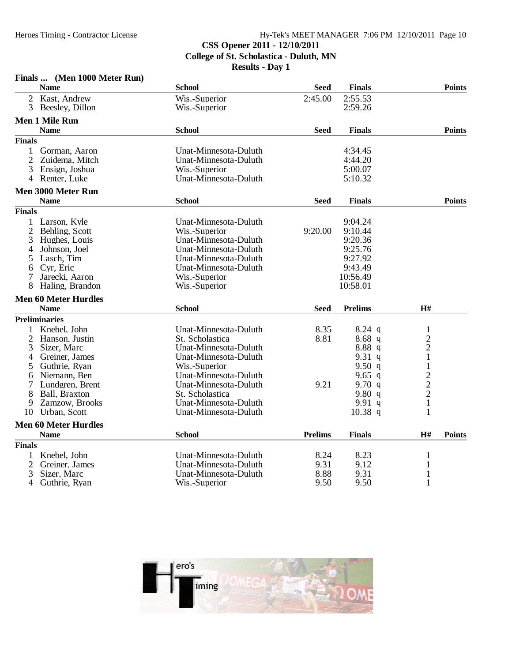#### Hy-Tek's MEET MANAGER 7:06 PM 12/10/2011 Page 10 **CSS Opener 2011 - 12/10/2011**

**College of St. Scholastica - Duluth, MN**

|                | Finals  (Men 1000 Meter Run) |                       |                |                |                |               |
|----------------|------------------------------|-----------------------|----------------|----------------|----------------|---------------|
|                | <b>Name</b>                  | <b>School</b>         | <b>Seed</b>    | <b>Finals</b>  |                | <b>Points</b> |
|                | 2 Kast, Andrew               | Wis.-Superior         | 2:45.00        | 2:55.53        |                |               |
| $\overline{3}$ | Beesley, Dillon              | Wis.-Superior         |                | 2:59.26        |                |               |
|                | <b>Men 1 Mile Run</b>        |                       |                |                |                |               |
|                | <b>Name</b>                  | <b>School</b>         | <b>Seed</b>    | <b>Finals</b>  |                | <b>Points</b> |
| <b>Finals</b>  |                              |                       |                |                |                |               |
| 1              | Gorman, Aaron                | Unat-Minnesota-Duluth |                | 4:34.45        |                |               |
| $\overline{2}$ | Zuidema, Mitch               | Unat-Minnesota-Duluth |                | 4:44.20        |                |               |
| 3              | Ensign, Joshua               | Wis.-Superior         |                | 5:00.07        |                |               |
|                | 4 Renter, Luke               | Unat-Minnesota-Duluth |                | 5:10.32        |                |               |
|                | <b>Men 3000 Meter Run</b>    |                       |                |                |                |               |
|                | <b>Name</b>                  | <b>School</b>         | <b>Seed</b>    | <b>Finals</b>  |                | <b>Points</b> |
| <b>Finals</b>  |                              |                       |                |                |                |               |
| 1              | Larson, Kyle                 | Unat-Minnesota-Duluth |                | 9:04.24        |                |               |
| $\overline{2}$ | Behling, Scott               | Wis.-Superior         | 9:20.00        | 9:10.44        |                |               |
| 3              | Hughes, Louis                | Unat-Minnesota-Duluth |                | 9:20.36        |                |               |
| 4              | Johnson, Joel                | Unat-Minnesota-Duluth |                | 9:25.76        |                |               |
| 5              | Lasch, Tim                   | Unat-Minnesota-Duluth |                | 9:27.92        |                |               |
| 6              | Cyr, Eric                    | Unat-Minnesota-Duluth |                | 9:43.49        |                |               |
| 7              | Jarecki, Aaron               | Wis.-Superior         |                | 10:56.49       |                |               |
|                | Haling, Brandon              | Wis.-Superior         |                | 10:58.01       |                |               |
|                | <b>Men 60 Meter Hurdles</b>  |                       |                |                |                |               |
|                | <b>Name</b>                  | <b>School</b>         | <b>Seed</b>    | <b>Prelims</b> | H#             |               |
|                | <b>Preliminaries</b>         |                       |                |                |                |               |
| 1              | Knebel, John                 | Unat-Minnesota-Duluth | 8.35           | $8.24$ q       | $\mathbf{1}$   |               |
| $\overline{2}$ | Hanson, Justin               | St. Scholastica       | 8.81           | 8.68q          | $\overline{c}$ |               |
| 3              | Sizer, Marc                  | Unat-Minnesota-Duluth |                | 8.88q          | $\overline{2}$ |               |
| 4              | Greiner, James               | Unat-Minnesota-Duluth |                | 9.31 $q$       | $\mathbf{1}$   |               |
| 5              | Guthrie, Ryan                | Wis.-Superior         |                | 9.50 $q$       | $\,1$          |               |
| 6              | Niemann, Ben                 | Unat-Minnesota-Duluth |                | 9.65 $q$       |                |               |
| 7              | Lundgren, Brent              | Unat-Minnesota-Duluth | 9.21           | 9.70 $q$       |                |               |
| 8              | Ball, Braxton                | St. Scholastica       |                | 9.80q          | $\frac{2}{2}$  |               |
| 9              | Zamzow, Brooks               | Unat-Minnesota-Duluth |                | 9.91 $q$       | $\mathbf{1}$   |               |
| 10             | Urban, Scott                 | Unat-Minnesota-Duluth |                | $10.38$ q      | 1              |               |
|                | <b>Men 60 Meter Hurdles</b>  |                       |                |                |                |               |
|                | <b>Name</b>                  | <b>School</b>         | <b>Prelims</b> | <b>Finals</b>  | H#             | <b>Points</b> |
| <b>Finals</b>  |                              |                       |                |                |                |               |
| 1              | Knebel, John                 | Unat-Minnesota-Duluth | 8.24           | 8.23           | 1              |               |
| 2              | Greiner, James               | Unat-Minnesota-Duluth | 9.31           | 9.12           | 1              |               |
| 3              | Sizer, Marc                  | Unat-Minnesota-Duluth | 8.88           | 9.31           | 1              |               |
| $\overline{4}$ | Guthrie, Ryan                | Wis.-Superior         | 9.50           | 9.50           | $\mathbf{1}$   |               |

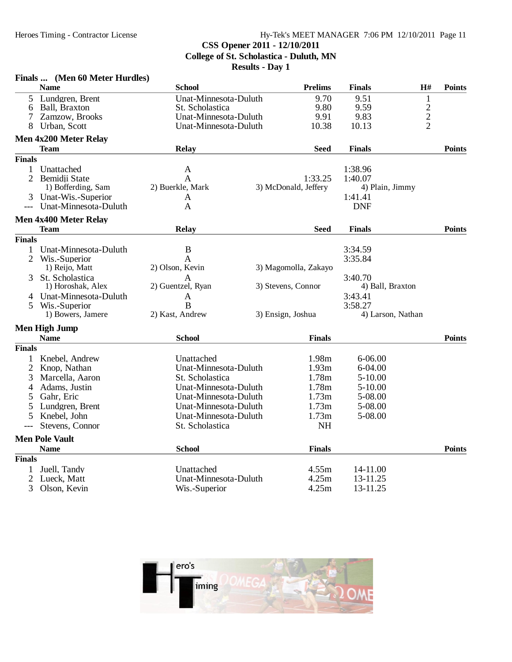#### Heroes Timing - Contractor License Hy-Tek's MEET MANAGER 7:06 PM 12/10/2011 Page 11 **CSS Opener 2011 - 12/10/2011 College of St. Scholastica - Duluth, MN**

|                | <b>Name</b>           | <b>School</b>         | <b>Prelims</b>       | <b>Finals</b>     | H#             | <b>Points</b> |
|----------------|-----------------------|-----------------------|----------------------|-------------------|----------------|---------------|
| 5              | Lundgren, Brent       | Unat-Minnesota-Duluth | 9.70                 | 9.51              | $\mathbf{1}$   |               |
| 6              | Ball, Braxton         | St. Scholastica       | 9.80                 | 9.59              |                |               |
| 7              | Zamzow, Brooks        | Unat-Minnesota-Duluth | 9.91                 | 9.83              | $\frac{2}{2}$  |               |
| 8              | Urban, Scott          | Unat-Minnesota-Duluth | 10.38                | 10.13             | $\overline{2}$ |               |
|                | Men 4x200 Meter Relay |                       |                      |                   |                |               |
|                | <b>Team</b>           | Relay                 | <b>Seed</b>          | <b>Finals</b>     |                | <b>Points</b> |
| <b>Finals</b>  |                       |                       |                      |                   |                |               |
| 1              | Unattached            | A                     |                      | 1:38.96           |                |               |
| 2              | Bemidji State         | A                     | 1:33.25              | 1:40.07           |                |               |
|                | 1) Bofferding, Sam    | 2) Buerkle, Mark      | 3) McDonald, Jeffery | 4) Plain, Jimmy   |                |               |
|                | Unat-Wis.-Superior    | A                     |                      | 1:41.41           |                |               |
|                | Unat-Minnesota-Duluth | A                     |                      | <b>DNF</b>        |                |               |
|                | Men 4x400 Meter Relay |                       |                      |                   |                |               |
|                | <b>Team</b>           | Relay                 | Seed                 | <b>Finals</b>     |                | <b>Points</b> |
| <b>Finals</b>  |                       |                       |                      |                   |                |               |
| 1              | Unat-Minnesota-Duluth | $\boldsymbol{B}$      |                      | 3:34.59           |                |               |
| $\overline{2}$ | Wis.-Superior         | A                     |                      | 3:35.84           |                |               |
|                | 1) Reijo, Matt        | 2) Olson, Kevin       | 3) Magomolla, Zakayo |                   |                |               |
| 3              | St. Scholastica       | A                     |                      | 3:40.70           |                |               |
|                | 1) Horoshak, Alex     | 2) Guentzel, Ryan     | 3) Stevens, Connor   | 4) Ball, Braxton  |                |               |
| 4              | Unat-Minnesota-Duluth | $\mathbf{A}$          |                      | 3:43.41           |                |               |
| 5              | Wis.-Superior         | B                     |                      | 3:58.27           |                |               |
|                | 1) Bowers, Jamere     | 2) Kast, Andrew       | 3) Ensign, Joshua    | 4) Larson, Nathan |                |               |
|                | <b>Men High Jump</b>  |                       |                      |                   |                |               |
|                | <b>Name</b>           | <b>School</b>         | <b>Finals</b>        |                   |                | <b>Points</b> |
| <b>Finals</b>  |                       |                       |                      |                   |                |               |
| 1              | Knebel, Andrew        | Unattached            | 1.98m                | $6 - 06.00$       |                |               |
| $\overline{2}$ | Knop, Nathan          | Unat-Minnesota-Duluth | 1.93m                | 6-04.00           |                |               |
| 3              | Marcella, Aaron       | St. Scholastica       | 1.78m                | 5-10.00           |                |               |
| 4              | Adams, Justin         | Unat-Minnesota-Duluth | 1.78m                | $5 - 10.00$       |                |               |
|                | Gahr, Eric            | Unat-Minnesota-Duluth | 1.73m                | 5-08.00           |                |               |
| 5              | Lundgren, Brent       | Unat-Minnesota-Duluth | 1.73m                | 5-08.00           |                |               |
| 5              | Knebel, John          | Unat-Minnesota-Duluth | 1.73m                | 5-08.00           |                |               |
| $---$          | Stevens, Connor       | St. Scholastica       | <b>NH</b>            |                   |                |               |
|                | <b>Men Pole Vault</b> |                       |                      |                   |                |               |
|                | <b>Name</b>           | <b>School</b>         | <b>Finals</b>        |                   |                | <b>Points</b> |
| <b>Finals</b>  |                       |                       |                      |                   |                |               |
| 1              | Juell, Tandy          | Unattached            | 4.55m                | 14-11.00          |                |               |
| $\overline{c}$ | Lueck, Matt           | Unat-Minnesota-Duluth | 4.25m                | 13-11.25          |                |               |
| 3              | Olson, Kevin          | Wis.-Superior         | 4.25m                | 13-11.25          |                |               |
|                |                       |                       |                      |                   |                |               |

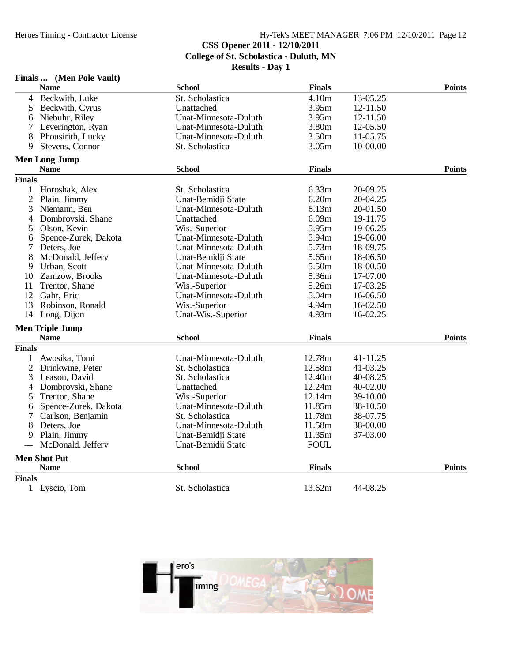### Heroes Timing - Contractor License Hy-Tek's MEET MANAGER 7:06 PM 12/10/2011 Page 12 **CSS Opener 2011 - 12/10/2011 College of St. Scholastica - Duluth, MN Results - Day 1**

#### **Finals ... (Men Pole Vault) Name School Finals Points** 4 Beckwith, Luke St. Scholastica 4.10m 13-05.25 5 Beckwith, Cyrus Unattached 3.95m 12-11.50 Example 12-11.50<br>
6 Unat-Minnesota-Duluth 3.80m 12-05.50<br>
5.80m 12-05.50 7 Leverington, Ryan Unat-Minnesota-Duluth 3.80m 12-05.50 8 Phousirith, Lucky Unat-Minnesota-Duluth 3.50m 11-05.75 9 Stevens, Connor St. Scholastica 3.05m 10-00.00 **Men Long Jump Name School Finals Points Finals** 1 Horoshak, Alex St. Scholastica 6.33m 20-09.25 2 Plain, Jimmy Unat-Bemidji State 6.20m 20-04.25 Unat-Minnesota-Duluth 6.13m 20-01.50 4 Dombrovski, Shane Unattached 6.09m 19-11.75 5 Olson, Kevin Wis.-Superior 5.95m 19-06.25 6 Spence-Zurek, Dakota Unat-Minnesota-Duluth 5.94m 19-06.00 Unat-Minnesota-Duluth<br>Unat-Bemidji State 8 McDonald, Jeffery Unat-Bemidji State 5.65m 18-06.50 9 Urban, Scott Unat-Minnesota-Duluth 5.50m 18-00.50 10 Unat-Minnesota-Duluth 5.36m<br>Wis.-Superior 5.26m 11 Trentor, Shane Wis.-Superior 5.26m 17-03.25<br>12 Gahr, Eric Unat-Minnesota-Duluth 5.04m 16-06.50 12 Gahr, Eric Unat-Minnesota-Duluth 5.04m 16-06.50 13 Robinson, Ronald Wis.-Superior 4.94m 16-02.50 14 Long, Dijon Unat-Wis.-Superior 4.93m 16-02.25 **Men Triple Jump Name School Finals Points Finals** 1 Awosika, Tomi Unat-Minnesota-Duluth 12.78m 41-11.25<br>2 Drinkwine, Peter St. Scholastica 12.58m 41-03.25 2 Drinkwine, Peter 3 Leason, David St. Scholastica 12.40m 40-08.25 4 Dombrovski, Shane Unattached 12.24m 40-02.00<br>5 Trentor, Shane Wis.-Superior 12.14m 39-10.00 5 Trentor, Shane Wis.-Superior 12.14m 39-10.00 6 Spence-Zurek, Dakota Unat-Minnesota-Duluth 11.85m 38-10.50 7 Carlson, Benjamin St. Scholastica 11.78m 38-07.75 8 Deters, Joe Unat-Minnesota-Duluth 11.58m 38-00.00 9 Plain, Jimmy Unat-Bemidji State 11.35m 37-03.00 --- McDonald, Jeffery Unat-Bemidji State **Men Shot Put Name School Finals Points Finals** 1 Lyscio, Tom St. Scholastica 13.62m 44-08.25